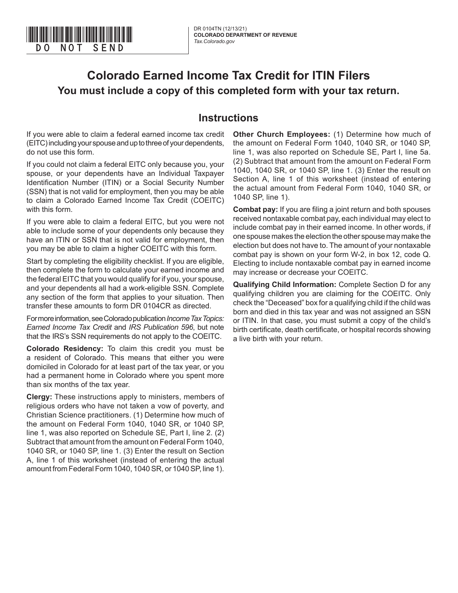

# **Colorado Earned Income Tax Credit for ITIN Filers You must include a copy of this completed form with your tax return.**

#### **Instructions**

If you were able to claim a federal earned income tax credit (EITC) including your spouse and up to three of your dependents, do not use this form.

If you could not claim a federal EITC only because you, your spouse, or your dependents have an Individual Taxpayer Identification Number (ITIN) or a Social Security Number (SSN) that is not valid for employment, then you may be able to claim a Colorado Earned Income Tax Credit (COEITC) with this form.

If you were able to claim a federal EITC, but you were not able to include some of your dependents only because they have an ITIN or SSN that is not valid for employment, then you may be able to claim a higher COEITC with this form.

Start by completing the eligibility checklist. If you are eligible, then complete the form to calculate your earned income and the federal EITC that you would qualify for if you, your spouse, and your dependents all had a work-eligible SSN. Complete any section of the form that applies to your situation. Then transfer these amounts to form DR 0104CR as directed.

For more information, see Colorado publication *Income Tax Topics: Earned Income Tax Credit* and *IRS Publication 596*, but note that the IRS's SSN requirements do not apply to the COEITC.

**Colorado Residency:** To claim this credit you must be a resident of Colorado. This means that either you were domiciled in Colorado for at least part of the tax year, or you had a permanent home in Colorado where you spent more than six months of the tax year.

**Clergy:** These instructions apply to ministers, members of religious orders who have not taken a vow of poverty, and Christian Science practitioners. (1) Determine how much of the amount on Federal Form 1040, 1040 SR, or 1040 SP, line 1, was also reported on Schedule SE, Part I, line 2. (2) Subtract that amount from the amount on Federal Form 1040, 1040 SR, or 1040 SP, line 1. (3) Enter the result on Section A, line 1 of this worksheet (instead of entering the actual amount from Federal Form 1040, 1040 SR, or 1040 SP, line 1).

**Other Church Employees:** (1) Determine how much of the amount on Federal Form 1040, 1040 SR, or 1040 SP, line 1, was also reported on Schedule SE, Part I, line 5a. (2) Subtract that amount from the amount on Federal Form 1040, 1040 SR, or 1040 SP, line 1. (3) Enter the result on Section A, line 1 of this worksheet (instead of entering the actual amount from Federal Form 1040, 1040 SR, or 1040 SP, line 1).

**Combat pay:** If you are filing a joint return and both spouses received nontaxable combat pay, each individual may elect to include combat pay in their earned income. In other words, if one spouse makes the election the other spouse may make the election but does not have to. The amount of your nontaxable combat pay is shown on your form W-2, in box 12, code Q. Electing to include nontaxable combat pay in earned income may increase or decrease your COEITC.

**Qualifying Child Information:** Complete Section D for any qualifying children you are claiming for the COEITC. Only check the "Deceased" box for a qualifying child if the child was born and died in this tax year and was not assigned an SSN or ITIN. In that case, you must submit a copy of the child's birth certificate, death certificate, or hospital records showing a live birth with your return.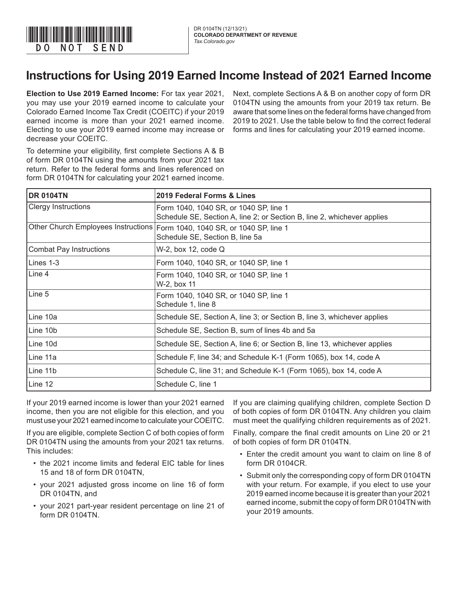

## **Instructions for Using 2019 Earned Income Instead of 2021 Earned Income**

**Election to Use 2019 Earned Income:** For tax year 2021, you may use your 2019 earned income to calculate your Colorado Earned Income Tax Credit (COEITC) if your 2019 earned income is more than your 2021 earned income. Electing to use your 2019 earned income may increase or decrease your COEITC.

Next, complete Sections A & B on another copy of form DR 0104TN using the amounts from your 2019 tax return. Be aware that some lines on the federal forms have changed from 2019 to 2021. Use the table below to find the correct federal forms and lines for calculating your 2019 earned income.

To determine your eligibility, first complete Sections A & B of form DR 0104TN using the amounts from your 2021 tax return. Refer to the federal forms and lines referenced on form DR 0104TN for calculating your 2021 earned income.

| <b>DR 0104TN</b>           | 2019 Federal Forms & Lines                                                                                        |
|----------------------------|-------------------------------------------------------------------------------------------------------------------|
| <b>Clergy Instructions</b> | Form 1040, 1040 SR, or 1040 SP, line 1<br>Schedule SE, Section A, line 2; or Section B, line 2, whichever applies |
|                            | Other Church Employees Instructions Form 1040, 1040 SR, or 1040 SP, line 1<br>Schedule SE, Section B, line 5a     |
| Combat Pay Instructions    | W-2, box 12, code Q                                                                                               |
| Lines 1-3                  | Form 1040, 1040 SR, or 1040 SP, line 1                                                                            |
| Line 4                     | Form 1040, 1040 SR, or 1040 SP, line 1<br>W-2, box 11                                                             |
| Line 5                     | Form 1040, 1040 SR, or 1040 SP, line 1<br>Schedule 1, line 8                                                      |
| Line 10a                   | Schedule SE, Section A, line 3; or Section B, line 3, whichever applies                                           |
| Line 10b                   | Schedule SE, Section B, sum of lines 4b and 5a                                                                    |
| ILine 10d                  | Schedule SE, Section A, line 6; or Section B, line 13, whichever applies                                          |
| ILine 11a                  | Schedule F, line 34; and Schedule K-1 (Form 1065), box 14, code A                                                 |
| Line 11b                   | Schedule C, line 31; and Schedule K-1 (Form 1065), box 14, code A                                                 |
| Line 12                    | Schedule C, line 1                                                                                                |

If your 2019 earned income is lower than your 2021 earned income, then you are not eligible for this election, and you must use your 2021 earned income to calculate your COEITC.

If you are eligible, complete Section C of both copies of form DR 0104TN using the amounts from your 2021 tax returns. This includes:

- the 2021 income limits and federal EIC table for lines 15 and 18 of form DR 0104TN,
- your 2021 adjusted gross income on line 16 of form DR 0104TN, and
- your 2021 part-year resident percentage on line 21 of form DR 0104TN.

If you are claiming qualifying children, complete Section D of both copies of form DR 0104TN. Any children you claim must meet the qualifying children requirements as of 2021.

Finally, compare the final credit amounts on Line 20 or 21 of both copies of form DR 0104TN.

- Enter the credit amount you want to claim on line 8 of form DR 0104CR.
- Submit only the corresponding copy of form DR 0104TN with your return. For example, if you elect to use your 2019 earned income because it is greater than your 2021 earned income, submit the copy of form DR 0104TN with your 2019 amounts.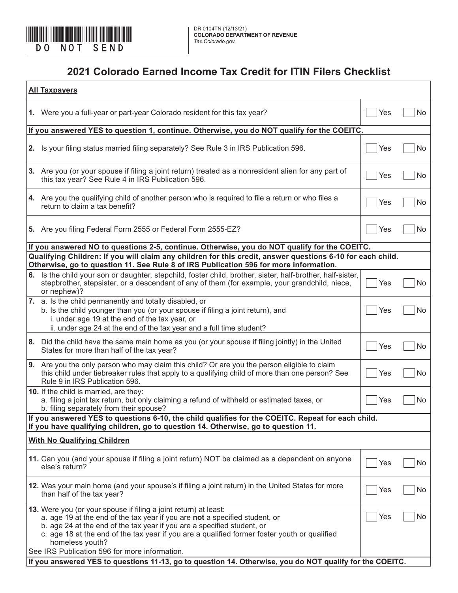

#### **2021 Colorado Earned Income Tax Credit for ITIN Filers Checklist**

| <b>All Taxpayers</b> |                                                                                                                                                                                                                                                                                                                                                                                                |     |    |  |  |  |
|----------------------|------------------------------------------------------------------------------------------------------------------------------------------------------------------------------------------------------------------------------------------------------------------------------------------------------------------------------------------------------------------------------------------------|-----|----|--|--|--|
|                      | 1. Were you a full-year or part-year Colorado resident for this tax year?                                                                                                                                                                                                                                                                                                                      | Yes | No |  |  |  |
|                      | If you answered YES to question 1, continue. Otherwise, you do NOT qualify for the COEITC.                                                                                                                                                                                                                                                                                                     |     |    |  |  |  |
|                      | 2. Is your filing status married filing separately? See Rule 3 in IRS Publication 596.                                                                                                                                                                                                                                                                                                         | Yes | No |  |  |  |
|                      | 3. Are you (or your spouse if filing a joint return) treated as a nonresident alien for any part of<br>this tax year? See Rule 4 in IRS Publication 596.                                                                                                                                                                                                                                       | Yes | No |  |  |  |
|                      | 4. Are you the qualifying child of another person who is required to file a return or who files a<br>return to claim a tax benefit?                                                                                                                                                                                                                                                            | Yes | No |  |  |  |
|                      | 5. Are you filing Federal Form 2555 or Federal Form 2555-EZ?                                                                                                                                                                                                                                                                                                                                   | Yes | No |  |  |  |
|                      | If you answered NO to questions 2-5, continue. Otherwise, you do NOT qualify for the COEITC.                                                                                                                                                                                                                                                                                                   |     |    |  |  |  |
|                      | Qualifying Children: If you will claim any children for this credit, answer questions 6-10 for each child.<br>Otherwise, go to question 11. See Rule 8 of IRS Publication 596 for more information.                                                                                                                                                                                            |     |    |  |  |  |
|                      | 6. Is the child your son or daughter, stepchild, foster child, brother, sister, half-brother, half-sister,<br>stepbrother, stepsister, or a descendant of any of them (for example, your grandchild, niece,<br>or nephew)?                                                                                                                                                                     | Yes | No |  |  |  |
|                      | 7. a. Is the child permanently and totally disabled, or<br>b. Is the child younger than you (or your spouse if filing a joint return), and<br>i. under age 19 at the end of the tax year, or<br>ii. under age 24 at the end of the tax year and a full time student?                                                                                                                           | Yes | No |  |  |  |
|                      | 8. Did the child have the same main home as you (or your spouse if filing jointly) in the United<br>States for more than half of the tax year?                                                                                                                                                                                                                                                 | Yes | No |  |  |  |
|                      | 9. Are you the only person who may claim this child? Or are you the person eligible to claim<br>this child under tiebreaker rules that apply to a qualifying child of more than one person? See<br>Rule 9 in IRS Publication 596.                                                                                                                                                              | Yes | No |  |  |  |
|                      | 10. If the child is married, are they:<br>a. filing a joint tax return, but only claiming a refund of withheld or estimated taxes, or<br>b. filing separately from their spouse?                                                                                                                                                                                                               | Yes | No |  |  |  |
|                      | If you answered YES to questions 6-10, the child qualifies for the COEITC. Repeat for each child<br>If you have qualifying children, go to question 14. Otherwise, go to question 11.                                                                                                                                                                                                          |     |    |  |  |  |
|                      | <b>With No Qualifying Children</b>                                                                                                                                                                                                                                                                                                                                                             |     |    |  |  |  |
|                      | 11. Can you (and your spouse if filing a joint return) NOT be claimed as a dependent on anyone<br>else's return?                                                                                                                                                                                                                                                                               | Yes | No |  |  |  |
|                      | 12. Was your main home (and your spouse's if filing a joint return) in the United States for more<br>than half of the tax year?                                                                                                                                                                                                                                                                | Yes | No |  |  |  |
|                      | 13. Were you (or your spouse if filing a joint return) at least:<br>a. age 19 at the end of the tax year if you are not a specified student, or<br>b. age 24 at the end of the tax year if you are a specified student, or<br>c. age 18 at the end of the tax year if you are a qualified former foster youth or qualified<br>homeless youth?<br>See IRS Publication 596 for more information. | Yes | No |  |  |  |
|                      | If you answered YES to questions 11-13, go to question 14. Otherwise, you do NOT qualify for the COEITC.                                                                                                                                                                                                                                                                                       |     |    |  |  |  |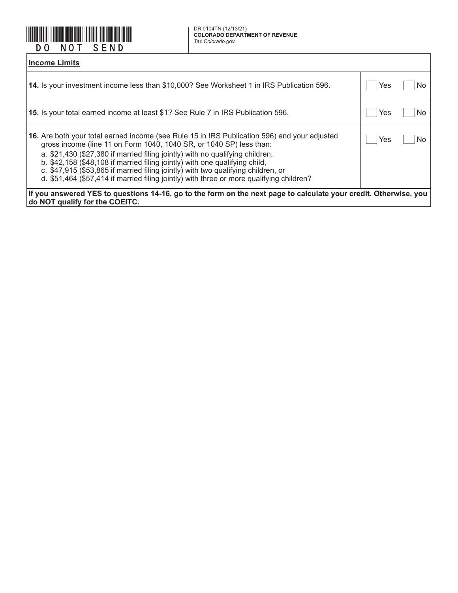

DR 0104TN (12/13/21)<br>COLORADO DEPARTMENT OF REVENUE

| <b>Income Limits</b>                                                                                                                                                                                                                                                                                                                                                                                                                                                                                                 |     |     |  |  |
|----------------------------------------------------------------------------------------------------------------------------------------------------------------------------------------------------------------------------------------------------------------------------------------------------------------------------------------------------------------------------------------------------------------------------------------------------------------------------------------------------------------------|-----|-----|--|--|
| 14. Is your investment income less than \$10,000? See Worksheet 1 in IRS Publication 596.                                                                                                                                                                                                                                                                                                                                                                                                                            | Yes | N0  |  |  |
| <b>15.</b> Is your total earned income at least \$1? See Rule 7 in IRS Publication 596.                                                                                                                                                                                                                                                                                                                                                                                                                              | Yes | No. |  |  |
| 16. Are both your total earned income (see Rule 15 in IRS Publication 596) and your adjusted<br>gross income (line 11 on Form 1040, 1040 SR, or 1040 SP) less than:<br>a. \$21,430 (\$27,380 if married filing jointly) with no qualifying children,<br>b. \$42,158 (\$48,108 if married filing jointly) with one qualifying child,<br>c. \$47,915 (\$53,865 if married filing jointly) with two qualifying children, or<br>d. \$51,464 (\$57,414 if married filing jointly) with three or more qualifying children? | Yes | No. |  |  |
| If you answered YES to questions 14-16, go to the form on the next page to calculate your credit. Otherwise, you<br><b>do NOT qualify for the COEITC.</b>                                                                                                                                                                                                                                                                                                                                                            |     |     |  |  |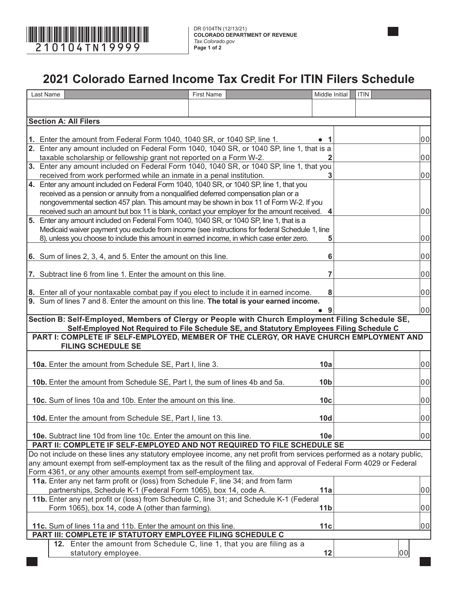

DR 0104TN (12/13/21) **COLORADO DEPARTMENT OF REVENUE** *Tax.Colorado.gov* **Page 1 of 2**

## **2021 Colorado Earned Income Tax Credit For ITIN Filers Schedule**

| Last Name                                                                                                                                                                               | <b>First Name</b> | Middle Initial  | <b>ITIN</b> |    |
|-----------------------------------------------------------------------------------------------------------------------------------------------------------------------------------------|-------------------|-----------------|-------------|----|
|                                                                                                                                                                                         |                   |                 |             |    |
|                                                                                                                                                                                         |                   |                 |             |    |
| <b>Section A: All Filers</b>                                                                                                                                                            |                   |                 |             |    |
| 1. Enter the amount from Federal Form 1040, 1040 SR, or 1040 SP, line 1.                                                                                                                |                   | -1              |             | 00 |
| 2. Enter any amount included on Federal Form 1040, 1040 SR, or 1040 SP, line 1, that is a                                                                                               |                   |                 |             |    |
| taxable scholarship or fellowship grant not reported on a Form W-2.                                                                                                                     |                   |                 |             | 00 |
| 3. Enter any amount included on Federal Form 1040, 1040 SR, or 1040 SP, line 1, that you                                                                                                |                   |                 |             |    |
| received from work performed while an inmate in a penal institution.                                                                                                                    |                   | 3               |             | 00 |
| 4. Enter any amount included on Federal Form 1040, 1040 SR, or 1040 SP, line 1, that you                                                                                                |                   |                 |             |    |
| received as a pension or annuity from a nonqualified deferred compensation plan or a                                                                                                    |                   |                 |             |    |
| nongovernmental section 457 plan. This amount may be shown in box 11 of Form W-2. If you<br>received such an amount but box 11 is blank, contact your employer for the amount received. |                   |                 |             | 00 |
| 5. Enter any amount included on Federal Form 1040, 1040 SR, or 1040 SP, line 1, that is a                                                                                               |                   |                 |             |    |
| Medicaid waiver payment you exclude from income (see instructions for federal Schedule 1, line                                                                                          |                   |                 |             |    |
| 8), unless you choose to include this amount in earned income, in which case enter zero.                                                                                                |                   | 5               |             | 00 |
|                                                                                                                                                                                         |                   |                 |             |    |
| 6. Sum of lines 2, 3, 4, and 5. Enter the amount on this line.                                                                                                                          |                   | 6               |             | 00 |
|                                                                                                                                                                                         |                   |                 |             |    |
| 7. Subtract line 6 from line 1. Enter the amount on this line.                                                                                                                          |                   | 7               |             | 00 |
|                                                                                                                                                                                         |                   |                 |             | 00 |
| 8. Enter all of your nontaxable combat pay if you elect to include it in earned income.<br>9. Sum of lines 7 and 8. Enter the amount on this line. The total is your earned income.     |                   | 8               |             |    |
|                                                                                                                                                                                         |                   | 9               |             | 00 |
| Section B: Self-Employed, Members of Clergy or People with Church Employment Filing Schedule SE,                                                                                        |                   |                 |             |    |
| Self-Employed Not Required to File Schedule SE, and Statutory Employees Filing Schedule C                                                                                               |                   |                 |             |    |
| PART I: COMPLETE IF SELF-EMPLOYED, MEMBER OF THE CLERGY, OR HAVE CHURCH EMPLOYMENT AND                                                                                                  |                   |                 |             |    |
| <b>FILING SCHEDULE SE</b>                                                                                                                                                               |                   |                 |             |    |
|                                                                                                                                                                                         |                   | 10a             |             | 00 |
| 10a. Enter the amount from Schedule SE, Part I, line 3.                                                                                                                                 |                   |                 |             |    |
| 10b. Enter the amount from Schedule SE, Part I, the sum of lines 4b and 5a.                                                                                                             |                   | 10 <sub>b</sub> |             | 00 |
|                                                                                                                                                                                         |                   |                 |             |    |
| 10c. Sum of lines 10a and 10b. Enter the amount on this line.                                                                                                                           |                   | 10 <sub>c</sub> |             | 00 |
|                                                                                                                                                                                         |                   |                 |             |    |
| 10d. Enter the amount from Schedule SE, Part I, line 13.                                                                                                                                |                   | <b>10d</b>      |             | 00 |
|                                                                                                                                                                                         |                   |                 |             |    |
| 10e. Subtract line 10d from line 10c. Enter the amount on this line.<br>PART II: COMPLETE IF SELF-EMPLOYED AND NOT REQUIRED TO FILE SCHEDULE SE                                         |                   | 10e             |             | 00 |
| Do not include on these lines any statutory employee income, any net profit from services performed as a notary public,                                                                 |                   |                 |             |    |
| any amount exempt from self-employment tax as the result of the filing and approval of Federal Form 4029 or Federal                                                                     |                   |                 |             |    |
| Form 4361, or any other amounts exempt from self-employment tax.                                                                                                                        |                   |                 |             |    |
| 11a. Enter any net farm profit or (loss) from Schedule F, line 34; and from farm                                                                                                        |                   |                 |             |    |
| partnerships, Schedule K-1 (Federal Form 1065), box 14, code A.                                                                                                                         |                   | 11a             |             | 00 |
| 11b. Enter any net profit or (loss) from Schedule C, line 31; and Schedule K-1 (Federal                                                                                                 |                   |                 |             |    |
| Form 1065), box 14, code A (other than farming).                                                                                                                                        |                   | 11 <sub>b</sub> |             | 00 |
|                                                                                                                                                                                         |                   |                 |             |    |
| 11c. Sum of lines 11a and 11b. Enter the amount on this line.<br>PART III: COMPLETE IF STATUTORY EMPLOYEE FILING SCHEDULE C                                                             |                   | 11c             |             | 00 |
| 12. Enter the amount from Schedule C, line 1, that you are filing as a                                                                                                                  |                   |                 |             |    |
| statutory employee.                                                                                                                                                                     |                   | 12              |             | 00 |
|                                                                                                                                                                                         |                   |                 |             |    |